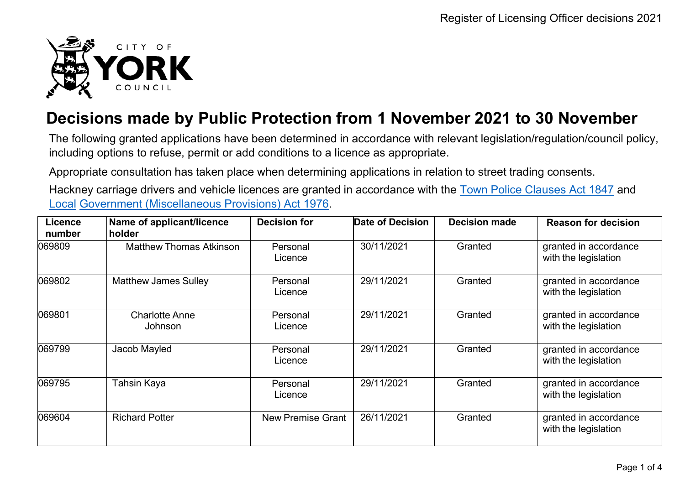

## **Decisions made by Public Protection from 1 November 2021 to 30 November**

The following granted applications have been determined in accordance with relevant legislation/regulation/council policy, including options to refuse, permit or add conditions to a licence as appropriate.

Appropriate consultation has taken place when determining applications in relation to street trading consents.

Hackney carriage drivers and vehicle licences are granted in accordance with the Town Police [Clauses](http://www.legislation.gov.uk/ukpga/Vict/10-11/89) Act 1847 and [Local](http://www.legislation.gov.uk/ukpga/1976/57) [Government \(Miscellaneous Provisions\) Act 1976.](http://www.legislation.gov.uk/ukpga/1976/57)

| <b>Licence</b><br>number | Name of applicant/licence<br>holder | <b>Decision for</b>      | Date of Decision | <b>Decision made</b> | <b>Reason for decision</b>                    |
|--------------------------|-------------------------------------|--------------------------|------------------|----------------------|-----------------------------------------------|
| 069809                   | <b>Matthew Thomas Atkinson</b>      | Personal<br>Licence      | 30/11/2021       | Granted              | granted in accordance<br>with the legislation |
| 069802                   | <b>Matthew James Sulley</b>         | Personal<br>Licence      | 29/11/2021       | Granted              | granted in accordance<br>with the legislation |
| 069801                   | <b>Charlotte Anne</b><br>Johnson    | Personal<br>Licence      | 29/11/2021       | Granted              | granted in accordance<br>with the legislation |
| 069799                   | Jacob Mayled                        | Personal<br>Licence      | 29/11/2021       | Granted              | granted in accordance<br>with the legislation |
| 069795                   | Tahsin Kaya                         | Personal<br>Licence      | 29/11/2021       | Granted              | granted in accordance<br>with the legislation |
| 069604                   | <b>Richard Potter</b>               | <b>New Premise Grant</b> | 26/11/2021       | Granted              | granted in accordance<br>with the legislation |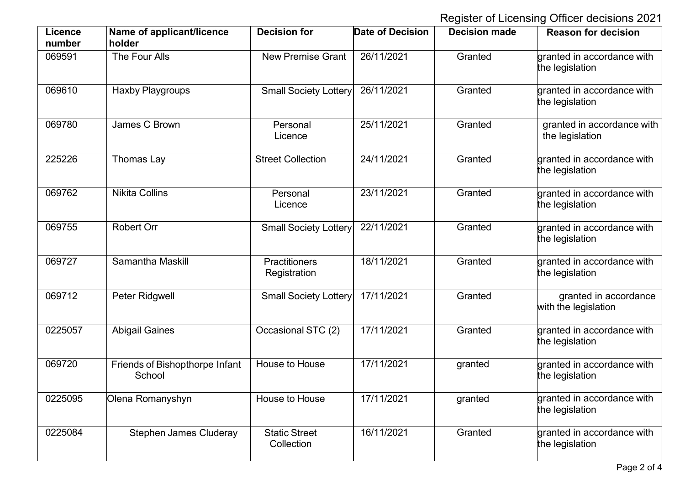Register of Licensing Officer decisions 2021

| <b>Licence</b><br>number | Name of applicant/licence<br>holder      | <b>Decision for</b>                  | <b>Date of Decision</b> | <b>Decision made</b> | <b>Reason for decision</b>                    |
|--------------------------|------------------------------------------|--------------------------------------|-------------------------|----------------------|-----------------------------------------------|
| 069591                   | The Four Alls                            | <b>New Premise Grant</b>             | 26/11/2021              | Granted              | granted in accordance with<br>the legislation |
| 069610                   | <b>Haxby Playgroups</b>                  | <b>Small Society Lottery</b>         | 26/11/2021              | Granted              | granted in accordance with<br>the legislation |
| 069780                   | James C Brown                            | Personal<br>Licence                  | 25/11/2021              | Granted              | granted in accordance with<br>the legislation |
| 225226                   | Thomas Lay                               | <b>Street Collection</b>             | 24/11/2021              | Granted              | granted in accordance with<br>the legislation |
| 069762                   | <b>Nikita Collins</b>                    | Personal<br>Licence                  | 23/11/2021              | Granted              | granted in accordance with<br>the legislation |
| 069755                   | <b>Robert Orr</b>                        | <b>Small Society Lottery</b>         | 22/11/2021              | Granted              | granted in accordance with<br>the legislation |
| 069727                   | Samantha Maskill                         | <b>Practitioners</b><br>Registration | 18/11/2021              | Granted              | granted in accordance with<br>the legislation |
| 069712                   | Peter Ridgwell                           | <b>Small Society Lottery</b>         | 17/11/2021              | Granted              | granted in accordance<br>with the legislation |
| 0225057                  | <b>Abigail Gaines</b>                    | Occasional STC (2)                   | 17/11/2021              | Granted              | granted in accordance with<br>the legislation |
| 069720                   | Friends of Bishopthorpe Infant<br>School | House to House                       | 17/11/2021              | granted              | granted in accordance with<br>the legislation |
| 0225095                  | Olena Romanyshyn                         | House to House                       | 17/11/2021              | granted              | granted in accordance with<br>the legislation |
| 0225084                  | <b>Stephen James Cluderay</b>            | <b>Static Street</b><br>Collection   | 16/11/2021              | Granted              | granted in accordance with<br>the legislation |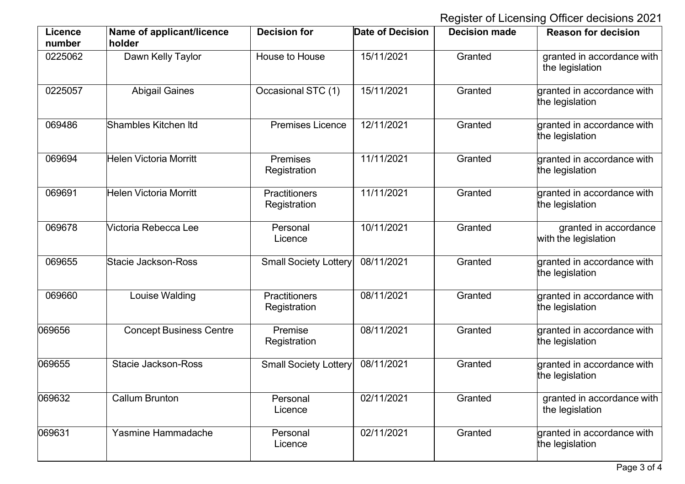Register of Licensing Officer decisions 2021

| <b>Licence</b><br>number | Name of applicant/licence<br>holder | <b>Decision for</b>                  | Date of Decision | <b>Decision made</b> | <b>Reason for decision</b>                    |
|--------------------------|-------------------------------------|--------------------------------------|------------------|----------------------|-----------------------------------------------|
| 0225062                  | Dawn Kelly Taylor                   | House to House                       | 15/11/2021       | Granted              | granted in accordance with<br>the legislation |
| 0225057                  | <b>Abigail Gaines</b>               | Occasional STC (1)                   | 15/11/2021       | Granted              | granted in accordance with<br>the legislation |
| 069486                   | Shambles Kitchen Itd                | <b>Premises Licence</b>              | 12/11/2021       | Granted              | granted in accordance with<br>the legislation |
| 069694                   | <b>Helen Victoria Morritt</b>       | <b>Premises</b><br>Registration      | 11/11/2021       | Granted              | granted in accordance with<br>the legislation |
| 069691                   | <b>Helen Victoria Morritt</b>       | <b>Practitioners</b><br>Registration | 11/11/2021       | Granted              | granted in accordance with<br>the legislation |
| 069678                   | Victoria Rebecca Lee                | Personal<br>Licence                  | 10/11/2021       | Granted              | granted in accordance<br>with the legislation |
| 069655                   | Stacie Jackson-Ross                 | <b>Small Society Lottery</b>         | 08/11/2021       | Granted              | granted in accordance with<br>the legislation |
| 069660                   | Louise Walding                      | Practitioners<br>Registration        | 08/11/2021       | Granted              | granted in accordance with<br>the legislation |
| 069656                   | <b>Concept Business Centre</b>      | Premise<br>Registration              | 08/11/2021       | Granted              | granted in accordance with<br>the legislation |
| 069655                   | <b>Stacie Jackson-Ross</b>          | <b>Small Society Lottery</b>         | 08/11/2021       | Granted              | granted in accordance with<br>the legislation |
| 069632                   | <b>Callum Brunton</b>               | Personal<br>Licence                  | 02/11/2021       | Granted              | granted in accordance with<br>the legislation |
| 069631                   | Yasmine Hammadache                  | Personal<br>Licence                  | 02/11/2021       | Granted              | granted in accordance with<br>the legislation |